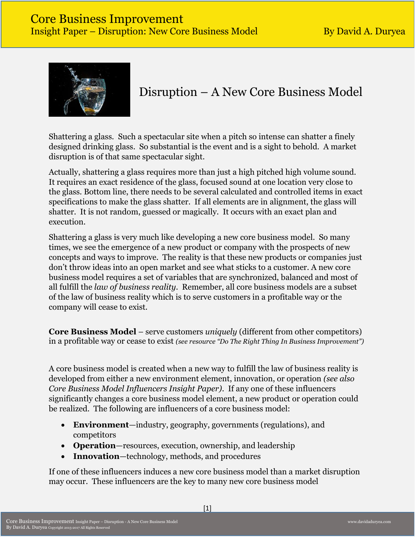

# Disruption – A New Core Business Model

Shattering a glass. Such a spectacular site when a pitch so intense can shatter a finely designed drinking glass. So substantial is the event and is a sight to behold. A market disruption is of that same spectacular sight.

Actually, shattering a glass requires more than just a high pitched high volume sound. It requires an exact residence of the glass, focused sound at one location very close to the glass. Bottom line, there needs to be several calculated and controlled items in exact specifications to make the glass shatter. If all elements are in alignment, the glass will shatter. It is not random, guessed or magically. It occurs with an exact plan and execution.

Shattering a glass is very much like developing a new core business model. So many times, we see the emergence of a new product or company with the prospects of new concepts and ways to improve. The reality is that these new products or companies just don't throw ideas into an open market and see what sticks to a customer. A new core business model requires a set of variables that are synchronized, balanced and most of all fulfill the *law of business reality*. Remember, all core business models are a subset of the law of business reality which is to serve customers in a profitable way or the company will cease to exist.

**Core Business Model** – serve customers *uniquely* (different from other competitors) in a profitable way or cease to exist *(see resource "Do The Right Thing In Business Improvement")*

A core business model is created when a new way to fulfill the law of business reality is developed from either a new environment element, innovation, or operation *(see also Core Business Model Influencers Insight Paper)*. If any one of these influencers significantly changes a core business model element, a new product or operation could be realized. The following are influencers of a core business model:

- **Environment**—industry, geography, governments (regulations), and competitors
- **Operation**—resources, execution, ownership, and leadership
- **Innovation**—technology, methods, and procedures

If one of these influencers induces a new core business model than a market disruption may occur. These influencers are the key to many new core business model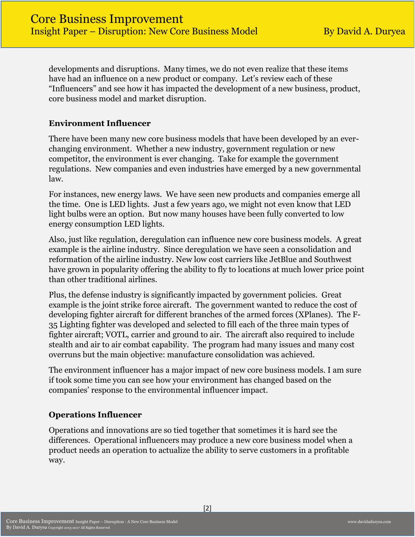developments and disruptions. Many times, we do not even realize that these items have had an influence on a new product or company. Let's review each of these "Influencers" and see how it has impacted the development of a new business, product, core business model and market disruption.

#### **Environment Influencer**

There have been many new core business models that have been developed by an everchanging environment. Whether a new industry, government regulation or new competitor, the environment is ever changing. Take for example the government regulations. New companies and even industries have emerged by a new governmental law.

For instances, new energy laws. We have seen new products and companies emerge all the time. One is LED lights. Just a few years ago, we might not even know that LED light bulbs were an option. But now many houses have been fully converted to low energy consumption LED lights.

Also, just like regulation, deregulation can influence new core business models. A great example is the airline industry. Since deregulation we have seen a consolidation and reformation of the airline industry. New low cost carriers like JetBlue and Southwest have grown in popularity offering the ability to fly to locations at much lower price point than other traditional airlines.

Plus, the defense industry is significantly impacted by government policies. Great example is the joint strike force aircraft. The government wanted to reduce the cost of developing fighter aircraft for different branches of the armed forces (XPlanes). The F-35 Lighting fighter was developed and selected to fill each of the three main types of fighter aircraft; VOTL, carrier and ground to air. The aircraft also required to include stealth and air to air combat capability. The program had many issues and many cost overruns but the main objective: manufacture consolidation was achieved.

The environment influencer has a major impact of new core business models. I am sure if took some time you can see how your environment has changed based on the companies' response to the environmental influencer impact.

# **Operations Influencer**

Operations and innovations are so tied together that sometimes it is hard see the differences. Operational influencers may produce a new core business model when a product needs an operation to actualize the ability to serve customers in a profitable way.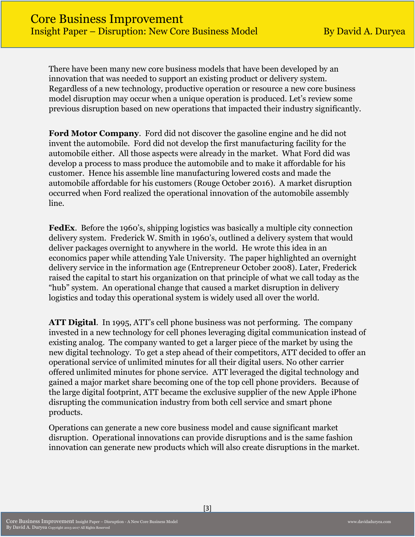There have been many new core business models that have been developed by an innovation that was needed to support an existing product or delivery system. Regardless of a new technology, productive operation or resource a new core business model disruption may occur when a unique operation is produced. Let's review some previous disruption based on new operations that impacted their industry significantly.

**Ford Motor Company**. Ford did not discover the gasoline engine and he did not invent the automobile. Ford did not develop the first manufacturing facility for the automobile either. All those aspects were already in the market. What Ford did was develop a process to mass produce the automobile and to make it affordable for his customer. Hence his assemble line manufacturing lowered costs and made the automobile affordable for his customers (Rouge October 2016). A market disruption occurred when Ford realized the operational innovation of the automobile assembly line.

**FedEx**. Before the 1960's, shipping logistics was basically a multiple city connection delivery system. Frederick W. Smith in 1960's, outlined a delivery system that would deliver packages overnight to anywhere in the world. He wrote this idea in an economics paper while attending Yale University. The paper highlighted an overnight delivery service in the information age (Entrepreneur October 2008). Later, Frederick raised the capital to start his organization on that principle of what we call today as the "hub" system. An operational change that caused a market disruption in delivery logistics and today this operational system is widely used all over the world.

**ATT Digital**. In 1995, ATT's cell phone business was not performing. The company invested in a new technology for cell phones leveraging digital communication instead of existing analog. The company wanted to get a larger piece of the market by using the new digital technology. To get a step ahead of their competitors, ATT decided to offer an operational service of unlimited minutes for all their digital users. No other carrier offered unlimited minutes for phone service. ATT leveraged the digital technology and gained a major market share becoming one of the top cell phone providers. Because of the large digital footprint, ATT became the exclusive supplier of the new Apple iPhone disrupting the communication industry from both cell service and smart phone products.

Operations can generate a new core business model and cause significant market disruption. Operational innovations can provide disruptions and is the same fashion innovation can generate new products which will also create disruptions in the market.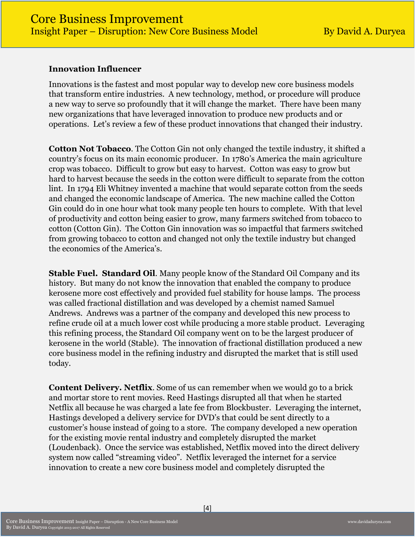#### **Innovation Influencer**

Innovations is the fastest and most popular way to develop new core business models that transform entire industries. A new technology, method, or procedure will produce a new way to serve so profoundly that it will change the market. There have been many new organizations that have leveraged innovation to produce new products and or operations. Let's review a few of these product innovations that changed their industry.

**Cotton Not Tobacco**. The Cotton Gin not only changed the textile industry, it shifted a country's focus on its main economic producer. In 1780's America the main agriculture crop was tobacco. Difficult to grow but easy to harvest. Cotton was easy to grow but hard to harvest because the seeds in the cotton were difficult to separate from the cotton lint. In 1794 Eli Whitney invented a machine that would separate cotton from the seeds and changed the economic landscape of America. The new machine called the Cotton Gin could do in one hour what took many people ten hours to complete. With that level of productivity and cotton being easier to grow, many farmers switched from tobacco to cotton (Cotton Gin). The Cotton Gin innovation was so impactful that farmers switched from growing tobacco to cotton and changed not only the textile industry but changed the economics of the America's.

**Stable Fuel. Standard Oil**. Many people know of the Standard Oil Company and its history. But many do not know the innovation that enabled the company to produce kerosene more cost effectively and provided fuel stability for house lamps. The process was called fractional distillation and was developed by a chemist named Samuel Andrews. Andrews was a partner of the company and developed this new process to refine crude oil at a much lower cost while producing a more stable product. Leveraging this refining process, the Standard Oil company went on to be the largest producer of kerosene in the world (Stable). The innovation of fractional distillation produced a new core business model in the refining industry and disrupted the market that is still used today.

**Content Delivery. Netflix**. Some of us can remember when we would go to a brick and mortar store to rent movies. Reed Hastings disrupted all that when he started Netflix all because he was charged a late fee from Blockbuster. Leveraging the internet, Hastings developed a delivery service for DVD's that could be sent directly to a customer's house instead of going to a store. The company developed a new operation for the existing movie rental industry and completely disrupted the market (Loudenback). Once the service was established, Netflix moved into the direct delivery system now called "streaming video". Netflix leveraged the internet for a service innovation to create a new core business model and completely disrupted the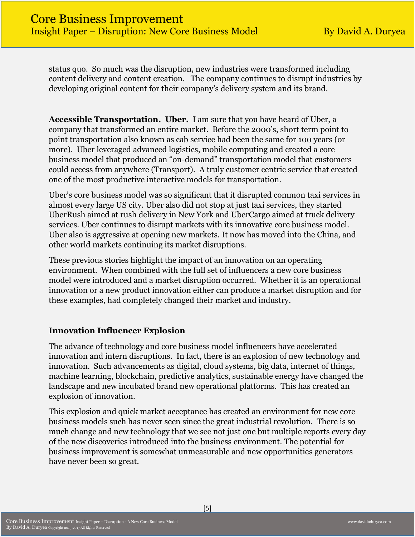status quo. So much was the disruption, new industries were transformed including content delivery and content creation. The company continues to disrupt industries by developing original content for their company's delivery system and its brand.

**Accessible Transportation. Uber.** I am sure that you have heard of Uber, a company that transformed an entire market. Before the 2000's, short term point to point transportation also known as cab service had been the same for 100 years (or more). Uber leveraged advanced logistics, mobile computing and created a core business model that produced an "on-demand" transportation model that customers could access from anywhere (Transport). A truly customer centric service that created one of the most productive interactive models for transportation.

Uber's core business model was so significant that it disrupted common taxi services in almost every large US city. Uber also did not stop at just taxi services, they started UberRush aimed at rush delivery in New York and UberCargo aimed at truck delivery services. Uber continues to disrupt markets with its innovative core business model. Uber also is aggressive at opening new markets. It now has moved into the China, and other world markets continuing its market disruptions.

These previous stories highlight the impact of an innovation on an operating environment. When combined with the full set of influencers a new core business model were introduced and a market disruption occurred. Whether it is an operational innovation or a new product innovation either can produce a market disruption and for these examples, had completely changed their market and industry.

#### **Innovation Influencer Explosion**

The advance of technology and core business model influencers have accelerated innovation and intern disruptions. In fact, there is an explosion of new technology and innovation. Such advancements as digital, cloud systems, big data, internet of things, machine learning, blockchain, predictive analytics, sustainable energy have changed the landscape and new incubated brand new operational platforms. This has created an explosion of innovation.

This explosion and quick market acceptance has created an environment for new core business models such has never seen since the great industrial revolution. There is so much change and new technology that we see not just one but multiple reports every day of the new discoveries introduced into the business environment. The potential for business improvement is somewhat unmeasurable and new opportunities generators have never been so great.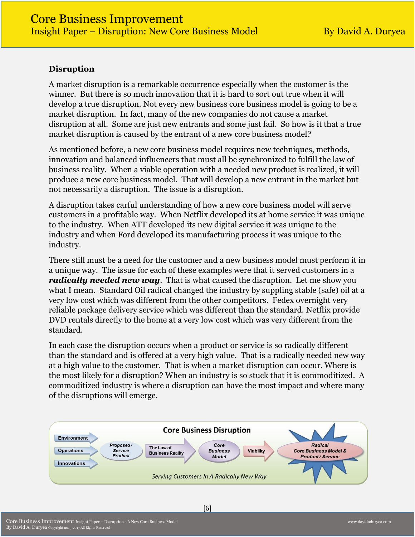#### **Disruption**

A market disruption is a remarkable occurrence especially when the customer is the winner. But there is so much innovation that it is hard to sort out true when it will develop a true disruption. Not every new business core business model is going to be a market disruption. In fact, many of the new companies do not cause a market disruption at all. Some are just new entrants and some just fail. So how is it that a true market disruption is caused by the entrant of a new core business model?

As mentioned before, a new core business model requires new techniques, methods, innovation and balanced influencers that must all be synchronized to fulfill the law of business reality. When a viable operation with a needed new product is realized, it will produce a new core business model. That will develop a new entrant in the market but not necessarily a disruption. The issue is a disruption.

A disruption takes carful understanding of how a new core business model will serve customers in a profitable way. When Netflix developed its at home service it was unique to the industry. When ATT developed its new digital service it was unique to the industry and when Ford developed its manufacturing process it was unique to the industry.

There still must be a need for the customer and a new business model must perform it in a unique way. The issue for each of these examples were that it served customers in a *radically needed new way*. That is what caused the disruption. Let me show you what I mean. Standard Oil radical changed the industry by suppling stable (safe) oil at a very low cost which was different from the other competitors. Fedex overnight very reliable package delivery service which was different than the standard. Netflix provide DVD rentals directly to the home at a very low cost which was very different from the standard.

In each case the disruption occurs when a product or service is so radically different than the standard and is offered at a very high value. That is a radically needed new way at a high value to the customer. That is when a market disruption can occur. Where is the most likely for a disruption? When an industry is so stuck that it is commoditized. A commoditized industry is where a disruption can have the most impact and where many of the disruptions will emerge.

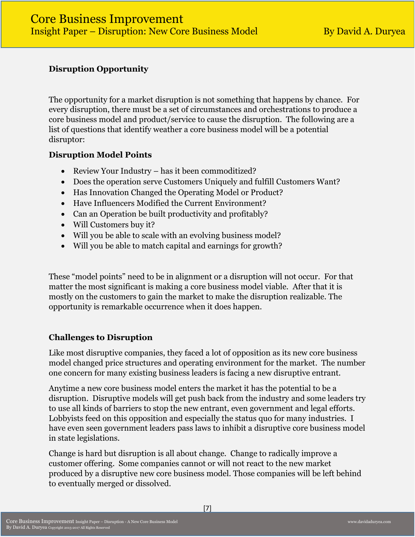# **Disruption Opportunity**

The opportunity for a market disruption is not something that happens by chance. For every disruption, there must be a set of circumstances and orchestrations to produce a core business model and product/service to cause the disruption. The following are a list of questions that identify weather a core business model will be a potential disruptor:

#### **Disruption Model Points**

- Review Your Industry has it been commoditized?
- Does the operation serve Customers Uniquely and fulfill Customers Want?
- Has Innovation Changed the Operating Model or Product?
- Have Influencers Modified the Current Environment?
- Can an Operation be built productivity and profitably?
- Will Customers buy it?
- Will you be able to scale with an evolving business model?
- Will you be able to match capital and earnings for growth?

These "model points" need to be in alignment or a disruption will not occur. For that matter the most significant is making a core business model viable. After that it is mostly on the customers to gain the market to make the disruption realizable. The opportunity is remarkable occurrence when it does happen.

# **Challenges to Disruption**

Like most disruptive companies, they faced a lot of opposition as its new core business model changed price structures and operating environment for the market. The number one concern for many existing business leaders is facing a new disruptive entrant.

Anytime a new core business model enters the market it has the potential to be a disruption. Disruptive models will get push back from the industry and some leaders try to use all kinds of barriers to stop the new entrant, even government and legal efforts. Lobbyists feed on this opposition and especially the status quo for many industries. I have even seen government leaders pass laws to inhibit a disruptive core business model in state legislations.

Change is hard but disruption is all about change. Change to radically improve a customer offering. Some companies cannot or will not react to the new market produced by a disruptive new core business model. Those companies will be left behind to eventually merged or dissolved.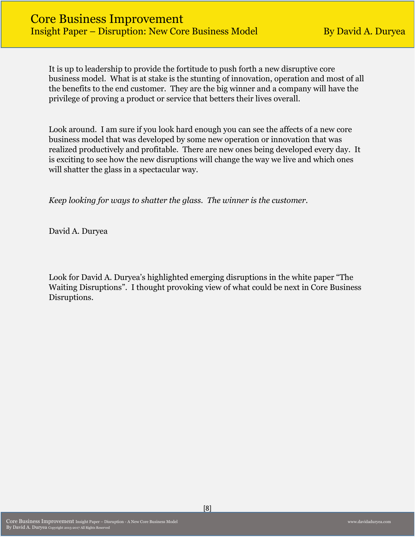It is up to leadership to provide the fortitude to push forth a new disruptive core business model. What is at stake is the stunting of innovation, operation and most of all the benefits to the end customer. They are the big winner and a company will have the privilege of proving a product or service that betters their lives overall.

Look around. I am sure if you look hard enough you can see the affects of a new core business model that was developed by some new operation or innovation that was realized productively and profitable. There are new ones being developed every day. It is exciting to see how the new disruptions will change the way we live and which ones will shatter the glass in a spectacular way.

*Keep looking for ways to shatter the glass. The winner is the customer.* 

David A. Duryea

Look for David A. Duryea's highlighted emerging disruptions in the white paper "The Waiting Disruptions". I thought provoking view of what could be next in Core Business Disruptions.